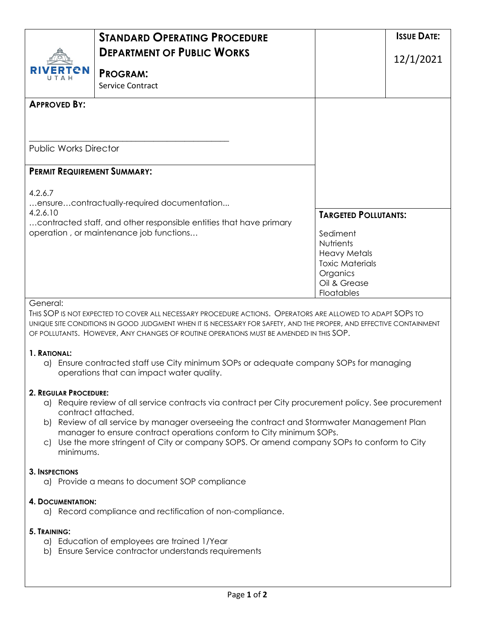|                                    | <b>STANDARD OPERATING PROCEDURE</b><br><b>DEPARTMENT OF PUBLIC WORKS</b>                                                                                                                                                                                                                                                  |                            | <b>ISSUE DATE:</b>          |  |
|------------------------------------|---------------------------------------------------------------------------------------------------------------------------------------------------------------------------------------------------------------------------------------------------------------------------------------------------------------------------|----------------------------|-----------------------------|--|
| ERTEN                              | <b>PROGRAM:</b><br><b>Service Contract</b>                                                                                                                                                                                                                                                                                |                            | 12/1/2021                   |  |
| <b>APPROVED BY:</b>                |                                                                                                                                                                                                                                                                                                                           |                            |                             |  |
| <b>Public Works Director</b>       |                                                                                                                                                                                                                                                                                                                           |                            |                             |  |
| <b>PERMIT REQUIREMENT SUMMARY:</b> |                                                                                                                                                                                                                                                                                                                           |                            |                             |  |
| 4.2.6.7                            | ensurecontractually-required documentation                                                                                                                                                                                                                                                                                |                            |                             |  |
| 4.2.6.10                           | contracted staff, and other responsible entities that have primary                                                                                                                                                                                                                                                        |                            | <b>TARGETED POLLUTANTS:</b> |  |
|                                    | operation, or maintenance job functions                                                                                                                                                                                                                                                                                   | Sediment<br>Nutrients      |                             |  |
|                                    |                                                                                                                                                                                                                                                                                                                           | <b>Heavy Metals</b>        | <b>Toxic Materials</b>      |  |
|                                    |                                                                                                                                                                                                                                                                                                                           | Organics                   |                             |  |
|                                    |                                                                                                                                                                                                                                                                                                                           | Oil & Grease<br>Floatables |                             |  |
| General:                           | THIS SOP IS NOT EXPECTED TO COVER ALL NECESSARY PROCEDURE ACTIONS. OPERATORS ARE ALLOWED TO ADAPT SOPS TO<br>UNIQUE SITE CONDITIONS IN GOOD JUDGMENT WHEN IT IS NECESSARY FOR SAFETY, AND THE PROPER, AND EFFECTIVE CONTAINMENT<br>OF POLLUTANTS. HOWEVER, ANY CHANGES OF ROUTINE OPERATIONS MUST BE AMENDED IN THIS SOP. |                            |                             |  |
| 1. RATIONAL:                       | a) Ensure contracted staff use City minimum SOPs or adequate company SOPs for managing                                                                                                                                                                                                                                    |                            |                             |  |

a) Ensure contracted staff use City minimum SOPs or adequate company SOPs for managing operations that can impact water quality.

# **2. REGULAR PROCEDURE:**

- a) Require review of all service contracts via contract per City procurement policy. See procurement contract attached.
- b) Review of all service by manager overseeing the contract and Stormwater Management Plan manager to ensure contract operations conform to City minimum SOPs.
- c) Use the more stringent of City or company SOPS. Or amend company SOPs to conform to City minimums.

# **3. INSPECTIONS**

a) Provide a means to document SOP compliance

# **4. DOCUMENTATION:**

a) Record compliance and rectification of non-compliance.

# **5. TRAINING:**

- a) Education of employees are trained 1/Year
- b) Ensure Service contractor understands requirements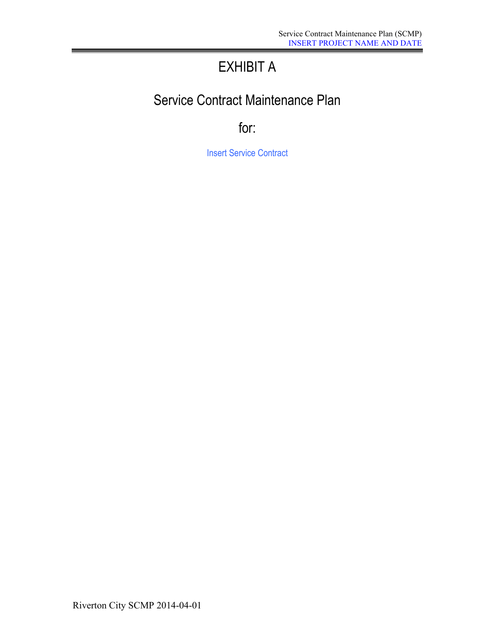# EXHIBIT A

# Service Contract Maintenance Plan

for:

**Insert Service Contract**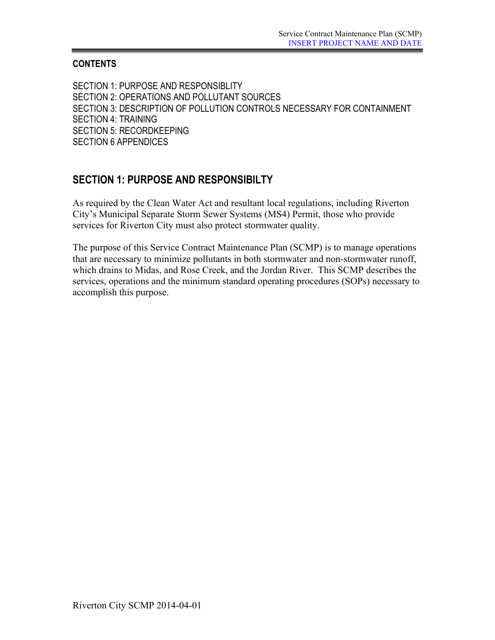# **CONTENTS**

SECTION 1: PURPOSE AND RESPONSIBLITY SECTION 2: OPERATIONS AND POLLUTANT SOURCES SECTION 3: DESCRIPTION OF POLLUTION CONTROLS NECESSARY FOR CONTAINMENT SECTION 4: TRAINING SECTION 5: RECORDKEEPING SECTION 6 APPENDICES

# **SECTION 1: PURPOSE AND RESPONSIBILTY**

As required by the Clean Water Act and resultant local regulations, including Riverton City's Municipal Separate Storm Sewer Systems (MS4) Permit, those who provide services for Riverton City must also protect stormwater quality.

The purpose of this Service Contract Maintenance Plan (SCMP) is to manage operations that are necessary to minimize pollutants in both stormwater and non-stormwater runoff, which drains to Midas, and Rose Creek, and the Jordan River. This SCMP describes the services, operations and the minimum standard operating procedures (SOPs) necessary to accomplish this purpose.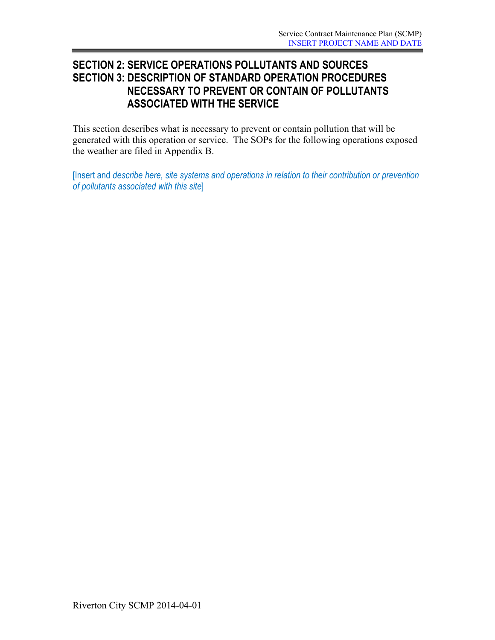# **SECTION 2: SERVICE OPERATIONS POLLUTANTS AND SOURCES SECTION 3: DESCRIPTION OF STANDARD OPERATION PROCEDURES NECESSARY TO PREVENT OR CONTAIN OF POLLUTANTS ASSOCIATED WITH THE SERVICE**

This section describes what is necessary to prevent or contain pollution that will be generated with this operation or service. The SOPs for the following operations exposed the weather are filed in Appendix B.

[Insert and *describe here, site systems and operations in relation to their contribution or prevention of pollutants associated with this site*]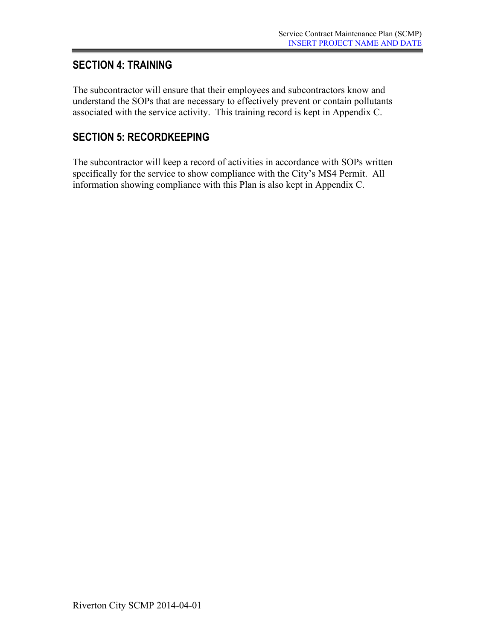# **SECTION 4: TRAINING**

The subcontractor will ensure that their employees and subcontractors know and understand the SOPs that are necessary to effectively prevent or contain pollutants associated with the service activity. This training record is kept in Appendix C.

# **SECTION 5: RECORDKEEPING**

The subcontractor will keep a record of activities in accordance with SOPs written specifically for the service to show compliance with the City's MS4 Permit. All information showing compliance with this Plan is also kept in Appendix C.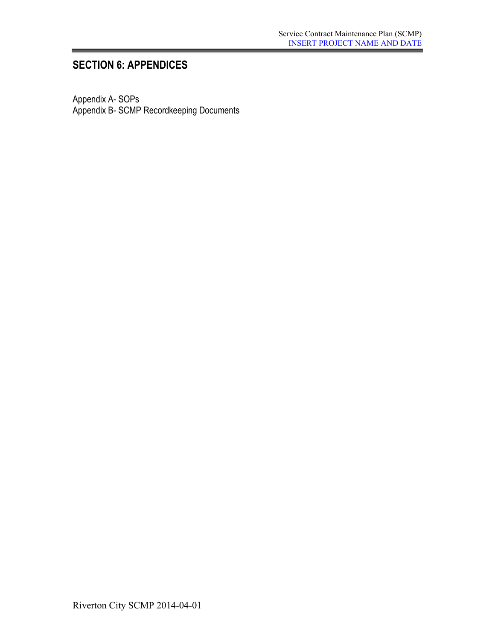# **SECTION 6: APPENDICES**

Appendix A- SOPs Appendix B- SCMP Recordkeeping Documents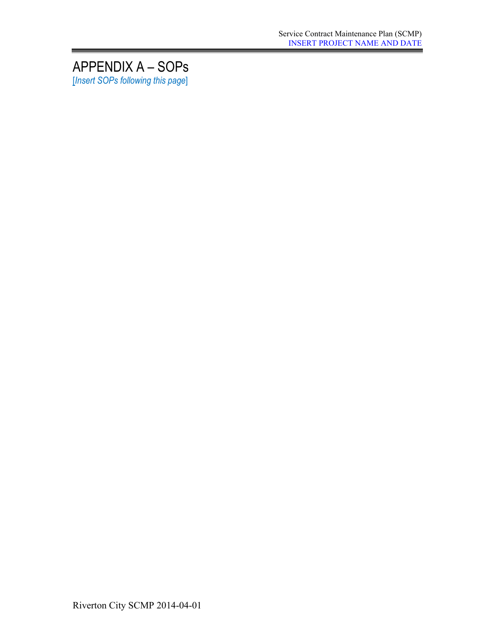# APPENDIX A – SOPs [*Insert SOPs following this page*]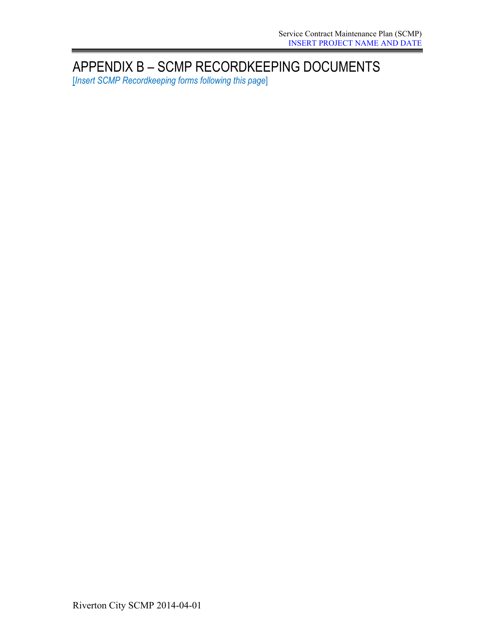# APPENDIX B – SCMP RECORDKEEPING DOCUMENTS

[*Insert SCMP Recordkeeping forms following this page*]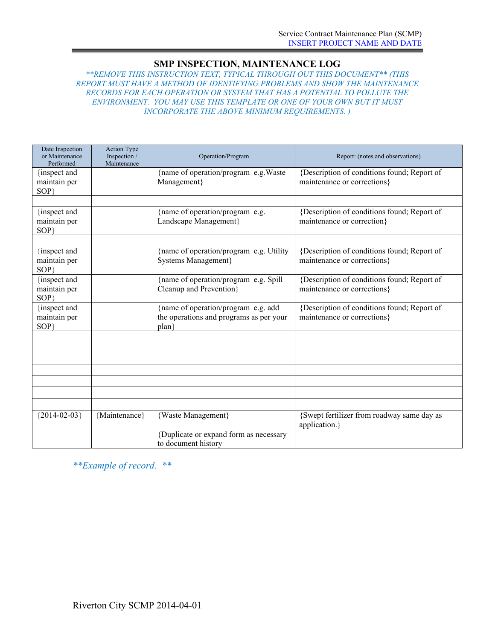# **SMP INSPECTION, MAINTENANCE LOG**

*\*\*REMOVE THIS INSTRUCTION TEXT, TYPICAL THROUGH OUT THIS DOCUMENT\*\* (THIS REPORT MUST HAVE A METHOD OF IDENTIFYING PROBLEMS AND SHOW THE MAINTENANCE RECORDS FOR EACH OPERATION OR SYSTEM THAT HAS A POTENTIAL TO POLLUTE THE ENVIRONMENT. YOU MAY USE THIS TEMPLATE OR ONE OF YOUR OWN BUT IT MUST INCORPORATE THE ABOVE MINIMUM REQUIREMENTS. )*

| Date Inspection<br>or Maintenance<br>Performed | <b>Action Type</b><br>Inspection /<br>Maintenance | Operation/Program<br>Report: (notes and observations)                                                                              |                                                                            |  |  |
|------------------------------------------------|---------------------------------------------------|------------------------------------------------------------------------------------------------------------------------------------|----------------------------------------------------------------------------|--|--|
| {inspect and<br>maintain per<br>SOP            |                                                   | {name of operation/program e.g. Waste<br>{Description of conditions found; Report of<br>Management}<br>maintenance or corrections} |                                                                            |  |  |
|                                                |                                                   |                                                                                                                                    |                                                                            |  |  |
| {inspect and<br>maintain per<br>SOP}           |                                                   | {name of operation/program e.g.<br>Landscape Management}                                                                           | {Description of conditions found; Report of<br>maintenance or correction}  |  |  |
|                                                |                                                   |                                                                                                                                    |                                                                            |  |  |
| {inspect and<br>maintain per<br>SOP}           |                                                   | {name of operation/program e.g. Utility<br><b>Systems Management</b> }                                                             | {Description of conditions found; Report of<br>maintenance or corrections} |  |  |
| {inspect and<br>maintain per<br>SOP}           |                                                   | {name of operation/program e.g. Spill<br>Cleanup and Prevention}                                                                   | {Description of conditions found; Report of<br>maintenance or corrections} |  |  |
| {inspect and<br>maintain per<br>SOP}           |                                                   | {name of operation/program e.g. add<br>the operations and programs as per your<br>$plan\}$                                         | {Description of conditions found; Report of<br>maintenance or corrections} |  |  |
|                                                |                                                   |                                                                                                                                    |                                                                            |  |  |
|                                                |                                                   |                                                                                                                                    |                                                                            |  |  |
|                                                |                                                   |                                                                                                                                    |                                                                            |  |  |
|                                                |                                                   |                                                                                                                                    |                                                                            |  |  |
|                                                |                                                   |                                                                                                                                    |                                                                            |  |  |
|                                                |                                                   |                                                                                                                                    |                                                                            |  |  |
|                                                |                                                   |                                                                                                                                    |                                                                            |  |  |
| ${2014 - 02 - 03}$                             | {Maintenance}                                     | {Waste Management}                                                                                                                 | {Swept fertilizer from roadway same day as<br>application.}                |  |  |
|                                                |                                                   | {Duplicate or expand form as necessary<br>to document history                                                                      |                                                                            |  |  |

*\*\*Example of record. \*\**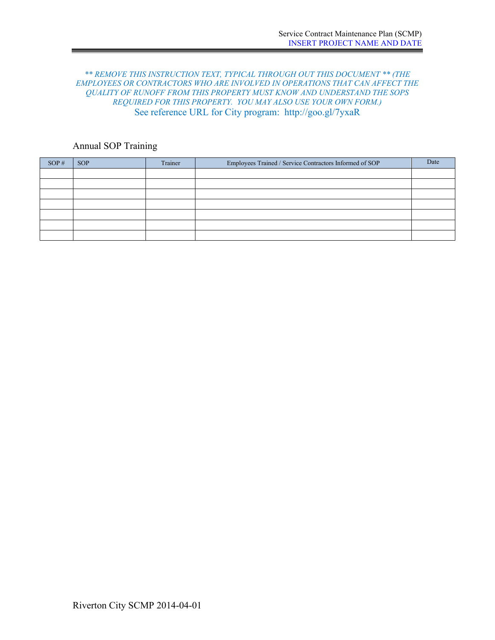## *\*\* REMOVE THIS INSTRUCTION TEXT, TYPICAL THROUGH OUT THIS DOCUMENT \*\* (THE EMPLOYEES OR CONTRACTORS WHO ARE INVOLVED IN OPERATIONS THAT CAN AFFECT THE QUALITY OF RUNOFF FROM THIS PROPERTY MUST KNOW AND UNDERSTAND THE SOPS REQUIRED FOR THIS PROPERTY. YOU MAY ALSO USE YOUR OWN FORM.)* See reference URL for City program: http://goo.gl/7yxaR

# Annual SOP Training

| SOP# | <b>SOP</b> | Trainer | Employees Trained / Service Contractors Informed of SOP | Date |
|------|------------|---------|---------------------------------------------------------|------|
|      |            |         |                                                         |      |
|      |            |         |                                                         |      |
|      |            |         |                                                         |      |
|      |            |         |                                                         |      |
|      |            |         |                                                         |      |
|      |            |         |                                                         |      |
|      |            |         |                                                         |      |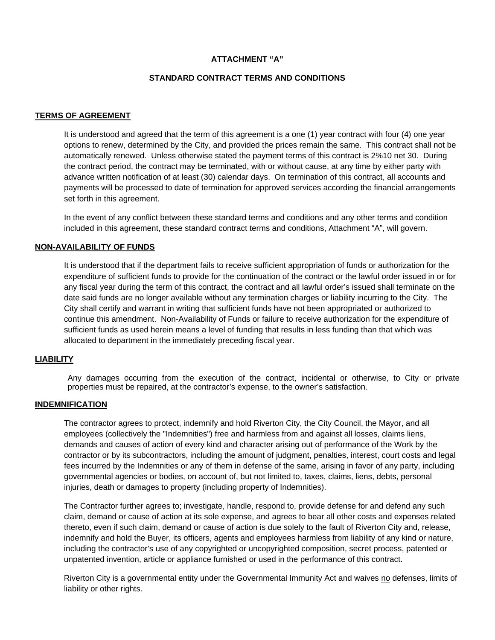#### **ATTACHMENT "A"**

#### **STANDARD CONTRACT TERMS AND CONDITIONS**

#### **TERMS OF AGREEMENT**

It is understood and agreed that the term of this agreement is a one (1) year contract with four (4) one year options to renew, determined by the City, and provided the prices remain the same. This contract shall not be automatically renewed. Unless otherwise stated the payment terms of this contract is 2%10 net 30. During the contract period, the contract may be terminated, with or without cause, at any time by either party with advance written notification of at least (30) calendar days. On termination of this contract, all accounts and payments will be processed to date of termination for approved services according the financial arrangements set forth in this agreement.

In the event of any conflict between these standard terms and conditions and any other terms and condition included in this agreement, these standard contract terms and conditions, Attachment "A", will govern.

#### **NON-AVAILABILITY OF FUNDS**

It is understood that if the department fails to receive sufficient appropriation of funds or authorization for the expenditure of sufficient funds to provide for the continuation of the contract or the lawful order issued in or for any fiscal year during the term of this contract, the contract and all lawful order's issued shall terminate on the date said funds are no longer available without any termination charges or liability incurring to the City. The City shall certify and warrant in writing that sufficient funds have not been appropriated or authorized to continue this amendment. Non-Availability of Funds or failure to receive authorization for the expenditure of sufficient funds as used herein means a level of funding that results in less funding than that which was allocated to department in the immediately preceding fiscal year.

#### **LIABILITY**

Any damages occurring from the execution of the contract, incidental or otherwise, to City or private properties must be repaired, at the contractor's expense, to the owner's satisfaction.

# **INDEMNIFICATION**

The contractor agrees to protect, indemnify and hold Riverton City, the City Council, the Mayor, and all employees (collectively the "Indemnities") free and harmless from and against all losses, claims liens, demands and causes of action of every kind and character arising out of performance of the Work by the contractor or by its subcontractors, including the amount of judgment, penalties, interest, court costs and legal fees incurred by the Indemnities or any of them in defense of the same, arising in favor of any party, including governmental agencies or bodies, on account of, but not limited to, taxes, claims, liens, debts, personal injuries, death or damages to property (including property of Indemnities).

The Contractor further agrees to; investigate, handle, respond to, provide defense for and defend any such claim, demand or cause of action at its sole expense, and agrees to bear all other costs and expenses related thereto, even if such claim, demand or cause of action is due solely to the fault of Riverton City and, release, indemnify and hold the Buyer, its officers, agents and employees harmless from liability of any kind or nature, including the contractor's use of any copyrighted or uncopyrighted composition, secret process, patented or unpatented invention, article or appliance furnished or used in the performance of this contract.

Riverton City is a governmental entity under the Governmental Immunity Act and waives no defenses, limits of liability or other rights.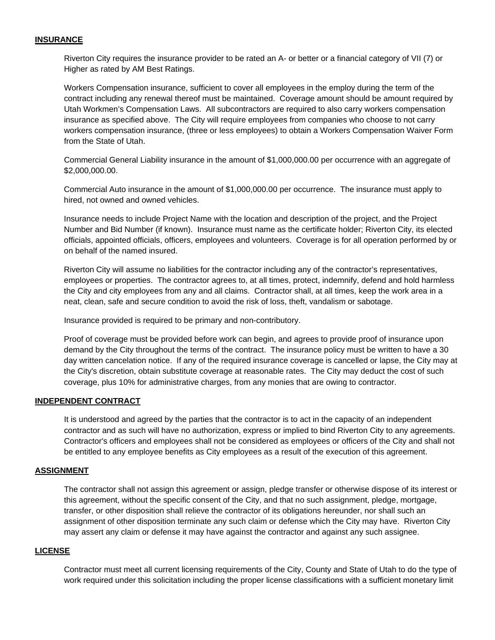## **INSURANCE**

Riverton City requires the insurance provider to be rated an A- or better or a financial category of VII (7) or Higher as rated by AM Best Ratings.

Workers Compensation insurance, sufficient to cover all employees in the employ during the term of the contract including any renewal thereof must be maintained. Coverage amount should be amount required by Utah Workmen's Compensation Laws. All subcontractors are required to also carry workers compensation insurance as specified above. The City will require employees from companies who choose to not carry workers compensation insurance, (three or less employees) to obtain a Workers Compensation Waiver Form from the State of Utah.

Commercial General Liability insurance in the amount of \$1,000,000.00 per occurrence with an aggregate of \$2,000,000.00.

Commercial Auto insurance in the amount of \$1,000,000.00 per occurrence. The insurance must apply to hired, not owned and owned vehicles.

Insurance needs to include Project Name with the location and description of the project, and the Project Number and Bid Number (if known). Insurance must name as the certificate holder; Riverton City, its elected officials, appointed officials, officers, employees and volunteers. Coverage is for all operation performed by or on behalf of the named insured.

Riverton City will assume no liabilities for the contractor including any of the contractor's representatives, employees or properties. The contractor agrees to, at all times, protect, indemnify, defend and hold harmless the City and city employees from any and all claims. Contractor shall, at all times, keep the work area in a neat, clean, safe and secure condition to avoid the risk of loss, theft, vandalism or sabotage.

Insurance provided is required to be primary and non-contributory.

Proof of coverage must be provided before work can begin, and agrees to provide proof of insurance upon demand by the City throughout the terms of the contract. The insurance policy must be written to have a 30 day written cancelation notice. If any of the required insurance coverage is cancelled or lapse, the City may at the City's discretion, obtain substitute coverage at reasonable rates. The City may deduct the cost of such coverage, plus 10% for administrative charges, from any monies that are owing to contractor.

#### **INDEPENDENT CONTRACT**

It is understood and agreed by the parties that the contractor is to act in the capacity of an independent contractor and as such will have no authorization, express or implied to bind Riverton City to any agreements. Contractor's officers and employees shall not be considered as employees or officers of the City and shall not be entitled to any employee benefits as City employees as a result of the execution of this agreement.

#### **ASSIGNMENT**

The contractor shall not assign this agreement or assign, pledge transfer or otherwise dispose of its interest or this agreement, without the specific consent of the City, and that no such assignment, pledge, mortgage, transfer, or other disposition shall relieve the contractor of its obligations hereunder, nor shall such an assignment of other disposition terminate any such claim or defense which the City may have. Riverton City may assert any claim or defense it may have against the contractor and against any such assignee.

#### **LICENSE**

Contractor must meet all current licensing requirements of the City, County and State of Utah to do the type of work required under this solicitation including the proper license classifications with a sufficient monetary limit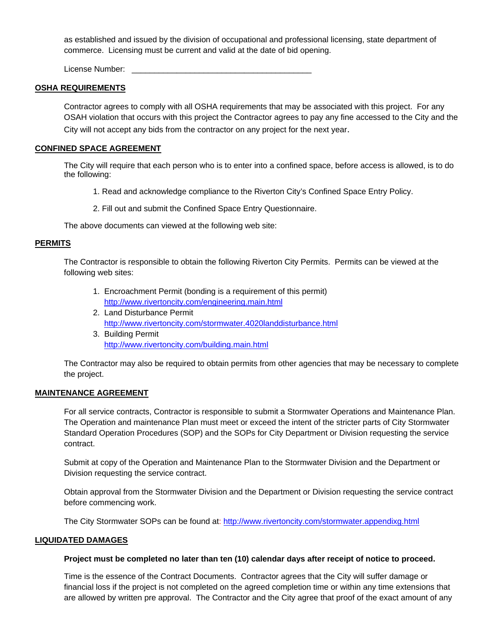as established and issued by the division of occupational and professional licensing, state department of commerce. Licensing must be current and valid at the date of bid opening.

License Number:

#### **OSHA REQUIREMENTS**

Contractor agrees to comply with all OSHA requirements that may be associated with this project. For any OSAH violation that occurs with this project the Contractor agrees to pay any fine accessed to the City and the City will not accept any bids from the contractor on any project for the next year.

#### **CONFINED SPACE AGREEMENT**

The City will require that each person who is to enter into a confined space, before access is allowed, is to do the following:

- 1. Read and acknowledge compliance to the Riverton City's Confined Space Entry Policy.
- 2. Fill out and submit the Confined Space Entry Questionnaire.

The above documents can viewed at the following web site:

#### **PERMITS**

The Contractor is responsible to obtain the following Riverton City Permits. Permits can be viewed at the following web sites:

- 1. Encroachment Permit (bonding is a requirement of this permit) http://www.rivertoncity.com/engineering.main.html
- 2. Land Disturbance Permit http://www.rivertoncity.com/stormwater.4020landdisturbance.html
- 3. Building Permit http://www.rivertoncity.com/building.main.html

 The Contractor may also be required to obtain permits from other agencies that may be necessary to complete the project.

## **MAINTENANCE AGREEMENT**

For all service contracts, Contractor is responsible to submit a Stormwater Operations and Maintenance Plan. The Operation and maintenance Plan must meet or exceed the intent of the stricter parts of City Stormwater Standard Operation Procedures (SOP) and the SOPs for City Department or Division requesting the service contract.

Submit at copy of the Operation and Maintenance Plan to the Stormwater Division and the Department or Division requesting the service contract.

Obtain approval from the Stormwater Division and the Department or Division requesting the service contract before commencing work.

The City Stormwater SOPs can be found at: http://www.rivertoncity.com/stormwater.appendixg.html

#### **LIQUIDATED DAMAGES**

#### **Project must be completed no later than ten (10) calendar days after receipt of notice to proceed.**

Time is the essence of the Contract Documents. Contractor agrees that the City will suffer damage or financial loss if the project is not completed on the agreed completion time or within any time extensions that are allowed by written pre approval. The Contractor and the City agree that proof of the exact amount of any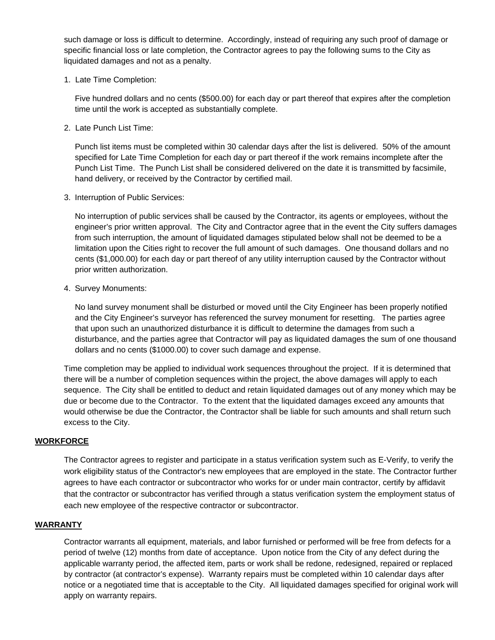such damage or loss is difficult to determine. Accordingly, instead of requiring any such proof of damage or specific financial loss or late completion, the Contractor agrees to pay the following sums to the City as liquidated damages and not as a penalty.

1. Late Time Completion:

Five hundred dollars and no cents (\$500.00) for each day or part thereof that expires after the completion time until the work is accepted as substantially complete.

2. Late Punch List Time:

Punch list items must be completed within 30 calendar days after the list is delivered. 50% of the amount specified for Late Time Completion for each day or part thereof if the work remains incomplete after the Punch List Time. The Punch List shall be considered delivered on the date it is transmitted by facsimile, hand delivery, or received by the Contractor by certified mail.

3. Interruption of Public Services:

No interruption of public services shall be caused by the Contractor, its agents or employees, without the engineer's prior written approval. The City and Contractor agree that in the event the City suffers damages from such interruption, the amount of liquidated damages stipulated below shall not be deemed to be a limitation upon the Cities right to recover the full amount of such damages. One thousand dollars and no cents (\$1,000.00) for each day or part thereof of any utility interruption caused by the Contractor without prior written authorization.

4. Survey Monuments:

No land survey monument shall be disturbed or moved until the City Engineer has been properly notified and the City Engineer's surveyor has referenced the survey monument for resetting. The parties agree that upon such an unauthorized disturbance it is difficult to determine the damages from such a disturbance, and the parties agree that Contractor will pay as liquidated damages the sum of one thousand dollars and no cents (\$1000.00) to cover such damage and expense.

Time completion may be applied to individual work sequences throughout the project. If it is determined that there will be a number of completion sequences within the project, the above damages will apply to each sequence. The City shall be entitled to deduct and retain liquidated damages out of any money which may be due or become due to the Contractor. To the extent that the liquidated damages exceed any amounts that would otherwise be due the Contractor, the Contractor shall be liable for such amounts and shall return such excess to the City.

## **WORKFORCE**

The Contractor agrees to register and participate in a status verification system such as E-Verify, to verify the work eligibility status of the Contractor's new employees that are employed in the state. The Contractor further agrees to have each contractor or subcontractor who works for or under main contractor, certify by affidavit that the contractor or subcontractor has verified through a status verification system the employment status of each new employee of the respective contractor or subcontractor.

## **WARRANTY**

 Contractor warrants all equipment, materials, and labor furnished or performed will be free from defects for a period of twelve (12) months from date of acceptance. Upon notice from the City of any defect during the applicable warranty period, the affected item, parts or work shall be redone, redesigned, repaired or replaced by contractor (at contractor's expense). Warranty repairs must be completed within 10 calendar days after notice or a negotiated time that is acceptable to the City. All liquidated damages specified for original work will apply on warranty repairs.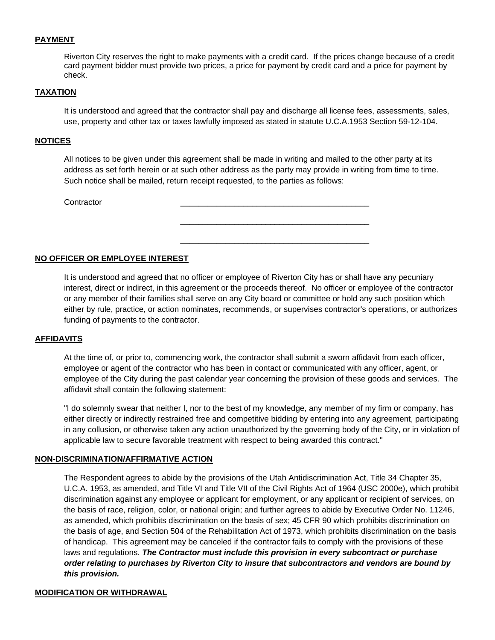## **PAYMENT**

Riverton City reserves the right to make payments with a credit card. If the prices change because of a credit card payment bidder must provide two prices, a price for payment by credit card and a price for payment by check.

#### **TAXATION**

It is understood and agreed that the contractor shall pay and discharge all license fees, assessments, sales, use, property and other tax or taxes lawfully imposed as stated in statute U.C.A.1953 Section 59-12-104.

#### **NOTICES**

All notices to be given under this agreement shall be made in writing and mailed to the other party at its address as set forth herein or at such other address as the party may provide in writing from time to time. Such notice shall be mailed, return receipt requested, to the parties as follows:

\_\_\_\_\_\_\_\_\_\_\_\_\_\_\_\_\_\_\_\_\_\_\_\_\_\_\_\_\_\_\_\_\_\_\_\_\_\_\_\_\_\_

\_\_\_\_\_\_\_\_\_\_\_\_\_\_\_\_\_\_\_\_\_\_\_\_\_\_\_\_\_\_\_\_\_\_\_\_\_\_\_\_\_\_

Contractor

#### **NO OFFICER OR EMPLOYEE INTEREST**

It is understood and agreed that no officer or employee of Riverton City has or shall have any pecuniary interest, direct or indirect, in this agreement or the proceeds thereof. No officer or employee of the contractor or any member of their families shall serve on any City board or committee or hold any such position which either by rule, practice, or action nominates, recommends, or supervises contractor's operations, or authorizes funding of payments to the contractor.

#### **AFFIDAVITS**

At the time of, or prior to, commencing work, the contractor shall submit a sworn affidavit from each officer, employee or agent of the contractor who has been in contact or communicated with any officer, agent, or employee of the City during the past calendar year concerning the provision of these goods and services. The affidavit shall contain the following statement:

"I do solemnly swear that neither I, nor to the best of my knowledge, any member of my firm or company, has either directly or indirectly restrained free and competitive bidding by entering into any agreement, participating in any collusion, or otherwise taken any action unauthorized by the governing body of the City, or in violation of applicable law to secure favorable treatment with respect to being awarded this contract."

#### **NON-DISCRIMINATION/AFFIRMATIVE ACTION**

The Respondent agrees to abide by the provisions of the Utah Antidiscrimination Act, Title 34 Chapter 35, U.C.A. 1953, as amended, and Title VI and Title VII of the Civil Rights Act of 1964 (USC 2000e), which prohibit discrimination against any employee or applicant for employment, or any applicant or recipient of services, on the basis of race, religion, color, or national origin; and further agrees to abide by Executive Order No. 11246, as amended, which prohibits discrimination on the basis of sex; 45 CFR 90 which prohibits discrimination on the basis of age, and Section 504 of the Rehabilitation Act of 1973, which prohibits discrimination on the basis of handicap. This agreement may be canceled if the contractor fails to comply with the provisions of these laws and regulations. *The Contractor must include this provision in every subcontract or purchase order relating to purchases by Riverton City to insure that subcontractors and vendors are bound by this provision.*

## **MODIFICATION OR WITHDRAWAL**